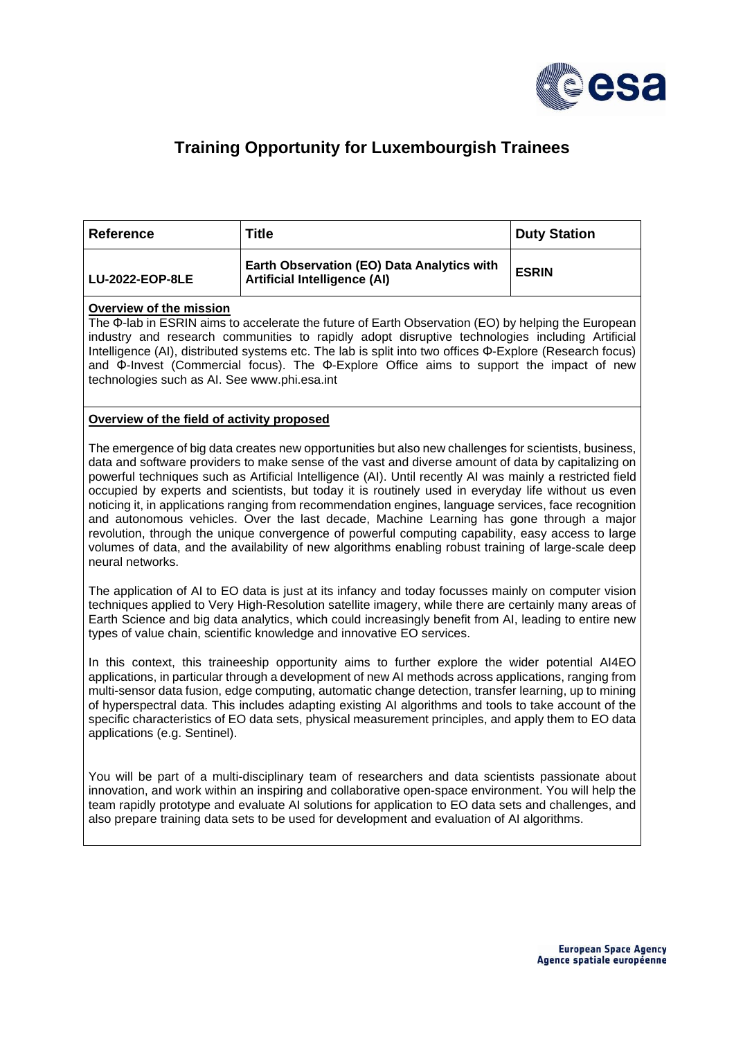

## **Training Opportunity for Luxembourgish Trainees**

| <b>Reference</b> | <b>Title</b>                                                                      | Duty Station |
|------------------|-----------------------------------------------------------------------------------|--------------|
| LU-2022-EOP-8LE  | Earth Observation (EO) Data Analytics with<br><b>Artificial Intelligence (AI)</b> | <b>ESRIN</b> |

## **Overview of the mission**

The Φ-lab in ESRIN aims to accelerate the future of Earth Observation (EO) by helping the European industry and research communities to rapidly adopt disruptive technologies including Artificial Intelligence (AI), distributed systems etc. The lab is split into two offices Φ-Explore (Research focus) and Φ-Invest (Commercial focus). The Φ-Explore Office aims to support the impact of new technologies such as AI. See www.phi.esa.int

## **Overview of the field of activity proposed**

The emergence of big data creates new opportunities but also new challenges for scientists, business, data and software providers to make sense of the vast and diverse amount of data by capitalizing on powerful techniques such as Artificial Intelligence (AI). Until recently AI was mainly a restricted field occupied by experts and scientists, but today it is routinely used in everyday life without us even noticing it, in applications ranging from recommendation engines, language services, face recognition and autonomous vehicles. Over the last decade, Machine Learning has gone through a major revolution, through the unique convergence of powerful computing capability, easy access to large volumes of data, and the availability of new algorithms enabling robust training of large-scale deep neural networks.

The application of AI to EO data is just at its infancy and today focusses mainly on computer vision techniques applied to Very High-Resolution satellite imagery, while there are certainly many areas of Earth Science and big data analytics, which could increasingly benefit from AI, leading to entire new types of value chain, scientific knowledge and innovative EO services.

In this context, this traineeship opportunity aims to further explore the wider potential AI4EO applications, in particular through a development of new AI methods across applications, ranging from multi-sensor data fusion, edge computing, automatic change detection, transfer learning, up to mining of hyperspectral data. This includes adapting existing AI algorithms and tools to take account of the specific characteristics of EO data sets, physical measurement principles, and apply them to EO data applications (e.g. Sentinel).

You will be part of a multi-disciplinary team of researchers and data scientists passionate about innovation, and work within an inspiring and collaborative open-space environment. You will help the team rapidly prototype and evaluate AI solutions for application to EO data sets and challenges, and also prepare training data sets to be used for development and evaluation of AI algorithms.